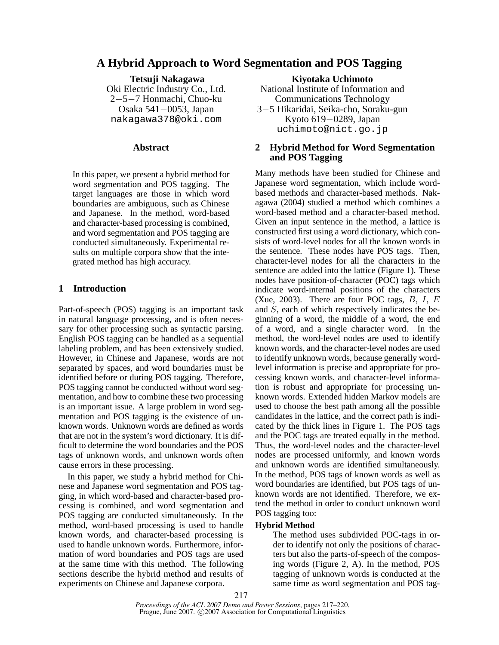# **A Hybrid Approach to Word Segmentation and POS Tagging**

**Tetsuji Nakagawa** Oki Electric Industry Co., Ltd. 2−5−7 Honmachi, Chuo-ku Osaka 541−0053, Japan nakagawa378@oki.com

### **Abstract**

In this paper, we present a hybrid method for word segmentation and POS tagging. The target languages are those in which word boundaries are ambiguous, such as Chinese and Japanese. In the method, word-based and character-based processing is combined, and word segmentation and POS tagging are conducted simultaneously. Experimental results on multiple corpora show that the integrated method has high accuracy.

## **1 Introduction**

Part-of-speech (POS) tagging is an important task in natural language processing, and is often necessary for other processing such as syntactic parsing. English POS tagging can be handled as a sequential labeling problem, and has been extensively studied. However, in Chinese and Japanese, words are not separated by spaces, and word boundaries must be identified before or during POS tagging. Therefore, POS tagging cannot be conducted without word segmentation, and how to combine these two processing is an important issue. A large problem in word segmentation and POS tagging is the existence of unknown words. Unknown words are defined as words that are not in the system's word dictionary. It is difficult to determine the word boundaries and the POS tags of unknown words, and unknown words often cause errors in these processing.

In this paper, we study a hybrid method for Chinese and Japanese word segmentation and POS tagging, in which word-based and character-based processing is combined, and word segmentation and POS tagging are conducted simultaneously. In the method, word-based processing is used to handle known words, and character-based processing is used to handle unknown words. Furthermore, information of word boundaries and POS tags are used at the same time with this method. The following sections describe the hybrid method and results of experiments on Chinese and Japanese corpora.

**Kiyotaka Uchimoto**

National Institute of Information and Communications Technology 3−5 Hikaridai, Seika-cho, Soraku-gun

Kyoto 619−0289, Japan uchimoto@nict.go.jp

## **2 Hybrid Method for Word Segmentation and POS Tagging**

Many methods have been studied for Chinese and Japanese word segmentation, which include wordbased methods and character-based methods. Nakagawa (2004) studied a method which combines a word-based method and a character-based method. Given an input sentence in the method, a lattice is constructed first using a word dictionary, which consists of word-level nodes for all the known words in the sentence. These nodes have POS tags. Then, character-level nodes for all the characters in the sentence are added into the lattice (Figure 1). These nodes have position-of-character (POC) tags which indicate word-internal positions of the characters (Xue, 2003). There are four POC tags,  $B$ ,  $I$ ,  $E$ and S, each of which respectively indicates the beginning of a word, the middle of a word, the end of a word, and a single character word. In the method, the word-level nodes are used to identify known words, and the character-level nodes are used to identify unknown words, because generally wordlevel information is precise and appropriate for processing known words, and character-level information is robust and appropriate for processing unknown words. Extended hidden Markov models are used to choose the best path among all the possible candidates in the lattice, and the correct path is indicated by the thick lines in Figure 1. The POS tags and the POC tags are treated equally in the method. Thus, the word-level nodes and the character-level nodes are processed uniformly, and known words and unknown words are identified simultaneously. In the method, POS tags of known words as well as word boundaries are identified, but POS tags of unknown words are not identified. Therefore, we extend the method in order to conduct unknown word POS tagging too:

### **Hybrid Method**

The method uses subdivided POC-tags in order to identify not only the positions of characters but also the parts-of-speech of the composing words (Figure 2, A). In the method, POS tagging of unknown words is conducted at the same time as word segmentation and POS tag-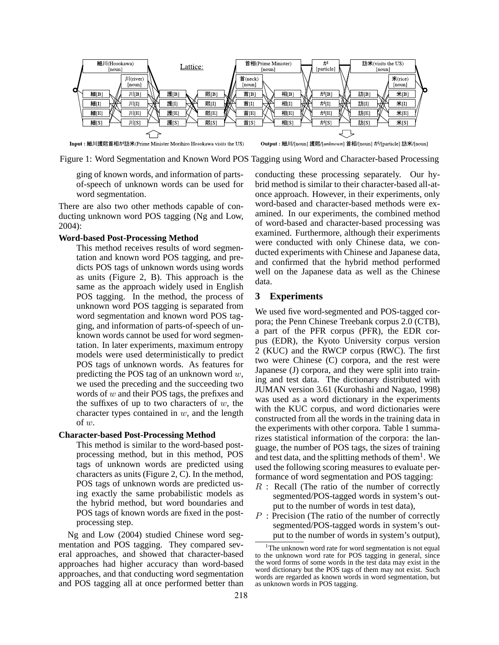

Figure 1: Word Segmentation and Known Word POS Tagging using Word and Character-based Processing

ging of known words, and information of partsof-speech of unknown words can be used for word segmentation.

There are also two other methods capable of conducting unknown word POS tagging (Ng and Low, 2004):

#### **Word-based Post-Processing Method**

This method receives results of word segmentation and known word POS tagging, and predicts POS tags of unknown words using words as units (Figure 2, B). This approach is the same as the approach widely used in English POS tagging. In the method, the process of unknown word POS tagging is separated from word segmentation and known word POS tagging, and information of parts-of-speech of unknown words cannot be used for word segmentation. In later experiments, maximum entropy models were used deterministically to predict POS tags of unknown words. As features for predicting the POS tag of an unknown word  $w$ , we used the preceding and the succeeding two words of  $w$  and their POS tags, the prefixes and the suffixes of up to two characters of  $w$ , the character types contained in  $w$ , and the length of w.

### **Character-based Post-Processing Method**

This method is similar to the word-based postprocessing method, but in this method, POS tags of unknown words are predicted using characters as units (Figure 2, C). In the method, POS tags of unknown words are predicted using exactly the same probabilistic models as the hybrid method, but word boundaries and POS tags of known words are fixed in the postprocessing step.

Ng and Low (2004) studied Chinese word segmentation and POS tagging. They compared several approaches, and showed that character-based approaches had higher accuracy than word-based approaches, and that conducting word segmentation and POS tagging all at once performed better than conducting these processing separately. Our hybrid method is similar to their character-based all-atonce approach. However, in their experiments, only word-based and character-based methods were examined. In our experiments, the combined method of word-based and character-based processing was examined. Furthermore, although their experiments were conducted with only Chinese data, we conducted experiments with Chinese and Japanese data, and confirmed that the hybrid method performed well on the Japanese data as well as the Chinese data.

### **3 Experiments**

We used five word-segmented and POS-tagged corpora; the Penn Chinese Treebank corpus 2.0 (CTB), a part of the PFR corpus (PFR), the EDR corpus (EDR), the Kyoto University corpus version 2 (KUC) and the RWCP corpus (RWC). The first two were Chinese (C) corpora, and the rest were Japanese (J) corpora, and they were split into training and test data. The dictionary distributed with JUMAN version 3.61 (Kurohashi and Nagao, 1998) was used as a word dictionary in the experiments with the KUC corpus, and word dictionaries were constructed from all the words in the training data in the experiments with other corpora. Table 1 summarizes statistical information of the corpora: the language, the number of POS tags, the sizes of training and test data, and the splitting methods of them $<sup>1</sup>$ . We</sup> used the following scoring measures to evaluate performance of word segmentation and POS tagging:

- $R$ : Recall (The ratio of the number of correctly segmented/POS-tagged words in system's output to the number of words in test data),
- $P$ : Precision (The ratio of the number of correctly segmented/POS-tagged words in system's output to the number of words in system's output),

<sup>&</sup>lt;sup>1</sup>The unknown word rate for word segmentation is not equal to the unknown word rate for POS tagging in general, since the word forms of some words in the test data may exist in the word dictionary but the POS tags of them may not exist. Such words are regarded as known words in word segmentation, but as unknown words in POS tagging.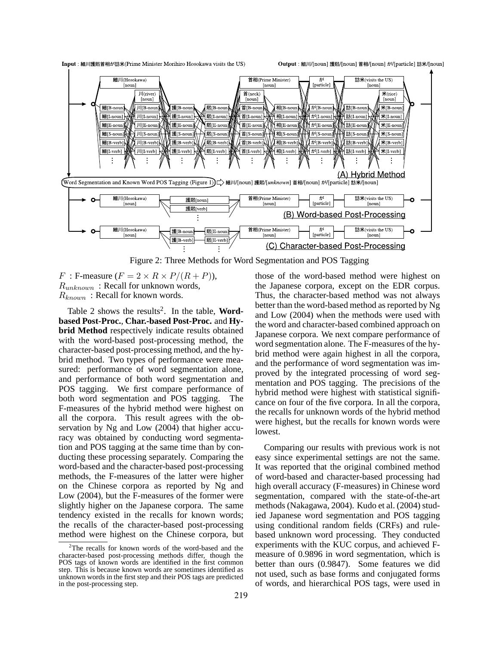

Figure 2: Three Methods for Word Segmentation and POS Tagging

F : F-measure  $(F = 2 \times R \times P/(R + P))$ ,  $R_{unknown}$ : Recall for unknown words,  $R_{known}$ : Recall for known words.

Table 2 shows the results<sup>2</sup>. In the table, **Wordbased Post-Proc.**, **Char.-based Post-Proc.** and **Hybrid Method** respectively indicate results obtained with the word-based post-processing method, the character-based post-processing method, and the hybrid method. Two types of performance were measured: performance of word segmentation alone, and performance of both word segmentation and POS tagging. We first compare performance of both word segmentation and POS tagging. The F-measures of the hybrid method were highest on all the corpora. This result agrees with the observation by Ng and Low (2004) that higher accuracy was obtained by conducting word segmentation and POS tagging at the same time than by conducting these processing separately. Comparing the word-based and the character-based post-processing methods, the F-measures of the latter were higher on the Chinese corpora as reported by Ng and Low (2004), but the F-measures of the former were slightly higher on the Japanese corpora. The same tendency existed in the recalls for known words; the recalls of the character-based post-processing method were highest on the Chinese corpora, but those of the word-based method were highest on the Japanese corpora, except on the EDR corpus. Thus, the character-based method was not always better than the word-based method as reported by Ng and Low (2004) when the methods were used with the word and character-based combined approach on Japanese corpora. We next compare performance of word segmentation alone. The F-measures of the hybrid method were again highest in all the corpora, and the performance of word segmentation was improved by the integrated processing of word segmentation and POS tagging. The precisions of the hybrid method were highest with statistical significance on four of the five corpora. In all the corpora, the recalls for unknown words of the hybrid method were highest, but the recalls for known words were lowest.

Comparing our results with previous work is not easy since experimental settings are not the same. It was reported that the original combined method of word-based and character-based processing had high overall accuracy (F-measures) in Chinese word segmentation, compared with the state-of-the-art methods (Nakagawa, 2004). Kudo et al. (2004) studied Japanese word segmentation and POS tagging using conditional random fields (CRFs) and rulebased unknown word processing. They conducted experiments with the KUC corpus, and achieved Fmeasure of 0.9896 in word segmentation, which is better than ours (0.9847). Some features we did not used, such as base forms and conjugated forms of words, and hierarchical POS tags, were used in

<sup>&</sup>lt;sup>2</sup>The recalls for known words of the word-based and the character-based post-processing methods differ, though the POS tags of known words are identified in the first common step. This is because known words are sometimes identified as unknown words in the first step and their POS tags are predicted in the post-processing step.